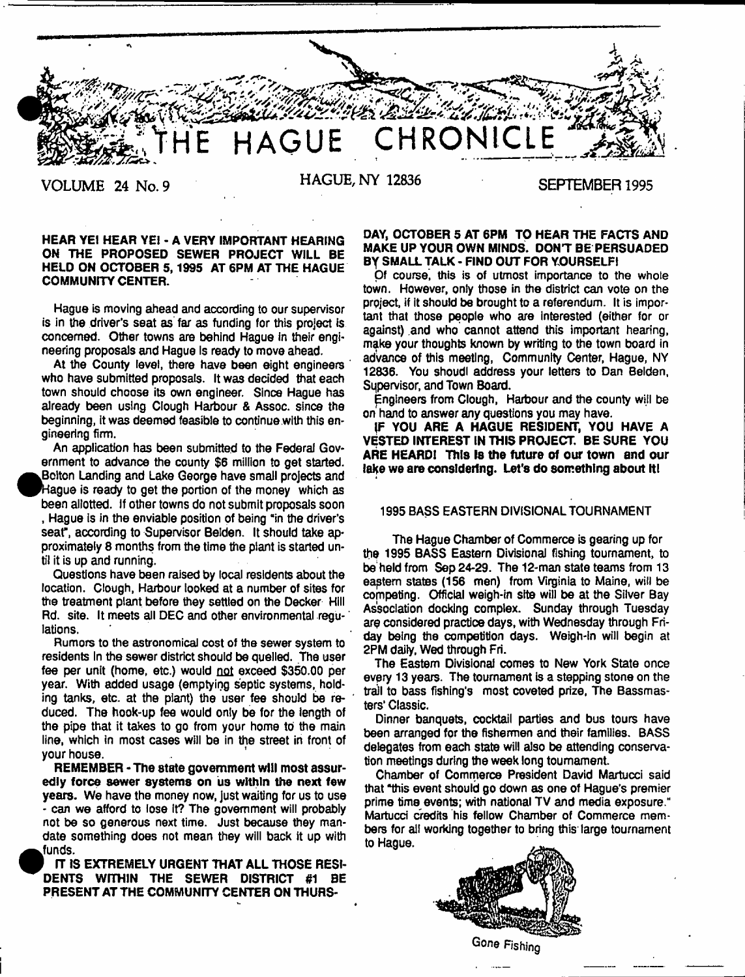**HAGUE CHRONIC** 1 \*• " • .

*m*

**VOLUME 24 No. 9 HAGUE, NY 12836 SEPTEMBER 1995**

## HEAR YEI HEAR YE1 - A VERY IMPORTANT HEARING ON THE PROPOSED SEWER PROJECT WILL BE HELD ON OCTOBER 5,1995 AT 6PM AT THE HAGUE COMMUNITY CENTER.

Hague is moving ahead and according to our supervisor is in the driver's seat as far as funding for this project is concerned. Other towns are behind Hague in their engineering proposals and Hague Is ready to move ahead.

At the County level, there have been eight engineers who have submitted proposals. It was decided that each town should choose its own engineer. Since Hague has already been using Clough Harbour & Assoc, since the beginning, it was deemed feasible to continue with this engineering firm.

An application has been submitted to the Federal Government to advance the county \$6 million to get started. Bolton Landing and Lake George have small projects and Hague is ready to get the portion of the money which as been allotted. If other towns do not submit proposals soon , Hague is in the enviable position of being "in the driver's seat", according to Supervisor Belden. It should take approximately 8 months from the time the plant is started until it is up and running.

Questions have been raised by local residents about the location. Clough, Harbour looked at a number of sites for the treatment plant before they settled on the Decker Hill Rd. site. It meets all DEC and other environmental regu- ' lations.

Rumors to the astronomical cost of the sewer system to residents In the sewer district should be quelled. The user fee per unit (home, etc.) would not exceed \$350.00 per year. With added usage (emptying septic systems, holding tanks, etc. at the plant) the user fee should be reduced. The hook-up fee would only be for the length of the pipe that it takes to go from your home to the main line, which in most cases will be in the street in front of your house.

REMEMBER - The state government will most assuredly force sewer systems on us within the next few years. We have the money now, just waiting for us to use - can we afford to lose It? The government will probably not be so generous next time. Just because they mandate something does not mean they will back it up with funds.

IT IS EXTREMELY URGENT THAT ALL THOSE RESI-DENTS WITHIN THE SEWER DISTRICT #1 BE PRESENT AT THE COMMUNITY CENTER ON THURS-

## DAY, OCTOBER 5 AT 6PM TO HEAR THE FACTS AND MAKE UP YOUR OWN MINDS. DONT BE PERSUADED By SMALL TALK - FIND OUT FOR YOURSELF!

Of course, this is of utmost importance to the whole town. However, only those in the district can vote on the project, if it should be brought to a referendum. It is important that those people who are interested (either for or against) and who cannot attend this important hearing, make your thoughts known by writing to the town board in advance of this meeting, Community Center, Hague, NY 12836. You shoudl address your letters to Dan Belden, Supervisor, and Town Board.

Engineers from Clough, Harbour and the county will be on hand to answer any questions you may have.

(F YOU ARE A HAGUE RESIDENT, YOU HAVE A VESTED INTEREST IN THIS PROJECT. BE SURE YOU ARE HEARD! This Is the future of our town and our lake we are considering. Let's do something about It!

## 1995 BASS EASTERN DIVISIONAL TOURNAMENT

The Hague Chamber of Commerce is gearing up for the 1995 BASS Eastern Divisional fishing tournament, to be held from Sep 24-29. The 12-man state teams from 13 eaptem states (156 men) from Virginia to Maine, will be competing. Official weigh-in site will be at the Silver Bay Association docking complex. Sunday through Tuesday are considered practioe days, with Wednesday through Friday being the competition days. Weigh-in will begin at 2PM daily, Wed through Fri.

The Eastern Divisional comes to New York State once every 13 years. The tournament is a stepping stone on the trail to bass fishing's most coveted prize, The Bassmasters' Classic.

Dinner banquets, cocktail parties and bus tours have been arranged for the fishermen and their families. BASS delegates from each state will also be attending conservation meetings during the week long tournament.

Chamber of Commerce President David Martucci said that "this event should go down as one of Hague's premier prime time events; with national TV and media exposure." Martucci credits his fellow Chamber of Commerce members for all working together to bring this large tournament to Hague.



**Gone Fishing**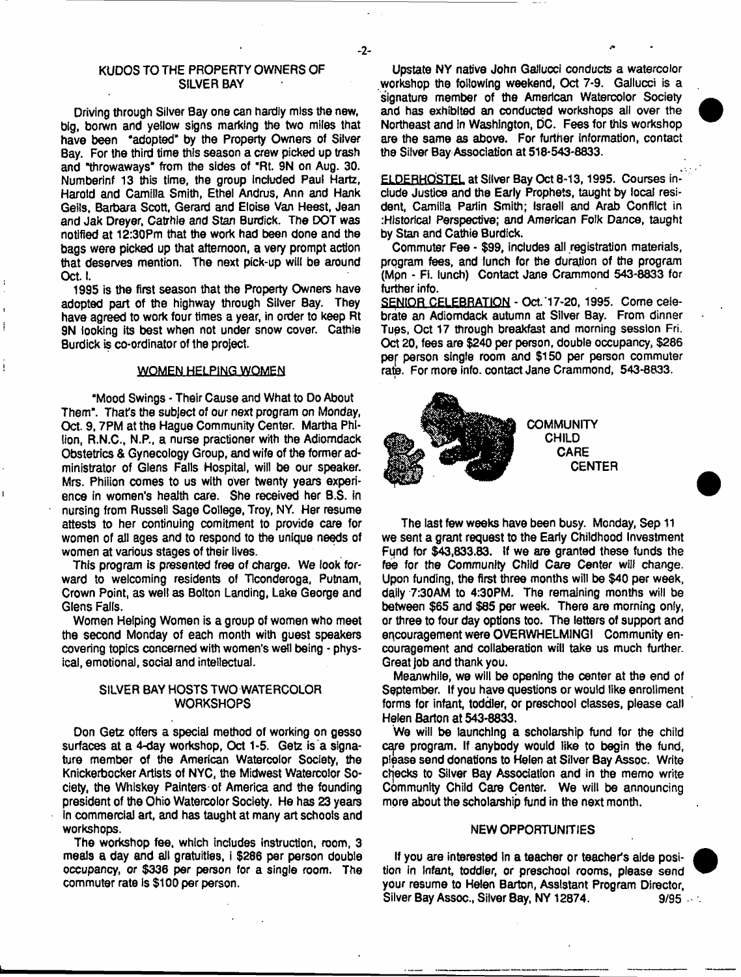## KUDOS TO THE PROPERTY OWNERS OF SILVER BAY

Driving through Silver Bay one can hardly miss the new, big, borwn and yellow signs marking the two miles that have been 'adopted' by the Property Owners of Silver Bay. For the third time this season a crew picked up trash and "throwaways' from the sides of "Rt. 9N on Aug. 30. Numberinf 13 this time, the group included Paul Hartz, Harold and Camilla Smith, Ethel Andrus, Ann and Hank Geils, Barbara Scott, Gerard and Etoise Van Heest, Jean and Jak Dreyer, Catrhie and Stan Burdick. The DOT was notified at 12:30Pm that the work had been done and the bags were picked up that afternoon, a very prompt action that deserves mention. The next pick-up will be around Oct. I.

1995 is the first season that the Property Owners have adopted part of the highway through Silver Bay. They have agreed to work four times a year, in order to keep Rt 9N looking its best when not under snow cover. Cathie Burdick is co-ordinator of the project.

## WOMEN HELPING WOMEN

"Mood Swings - Their Cause and What to Do About Them". That's the subject of our next program on Monday, Oct. 9, 7PM at the Hague Community Center. Martha Philion, R.N.C., N.P., a nurse practioner with the Adiomdack Obstetrics & Gynecology Group, and wife of the former administrator of Glens Falls Hospital, will be our speaker. Mrs. Phiiion comes to us with over twenty years experience in women's health care. She received her B.S. in nursing from Russell Sage College, Troy, NY. Her resume attests to her continuing comitment to provide care for women of all ages and to respond to the unique needs of women at various stages of their lives.

This program is presented free of charge. We look forward to welcoming residents of Ticonderoga, Putnam, Crown Point, as well as Bolton Landing, Lake George and Glens Falls,

Women Helping Women is a group of women who meet the second Monday of each month with guest speakers covering topics concerned with women's well being - physical, emotional, social and intellectual.

# SILVER BAY HOSTS TWO WATERCOLOR **WORKSHOPS**

Don Getz offers a special method of working on gesso surfaces at a 4-day workshop, Oct 1-5. Getz is a signature member of the American Watercolor Society, the Knickerbocker Artists of NYC, the Midwest Watercolor Society, the Whiskey Painters of America and the founding president of the Ohio Watercolor Society. He has 23 years In commercial art, and has taught at many art schools and workshops.

The workshop fee, which includes instruction, room, 3 meals a day and all gratuities, i \$286 per person double occupancy, or \$336 per person for a single room. The commuter rate is \$100 per person.

Upstate NY native John Gallucci conducts a watercolor workshop the following weekend, Oct 7-9. Gallucci is a signature member of the American Watercolor Society and has exhibited an conducted workshops all over the Northeast and in Washington, DC. Fees for this workshop are the same as above. For further information, contact the Silver Bay Association at 518-543-8833.

ELDERHOSTEL at Silver Bay Oct 8-13,1995. Courses include Justice and the Early Prophets, taught by local resident, Camilla Parlin Smith; Israell and Arab Conflict in .•Historical Perspective; and American Folk Dance, taught by Stan and Cathie Burdick.

Commuter Fee - \$99, includes all registration materials, program fees, and lunch for the duration of the program (Mpn - Fi. lunch) Contact Jane Crammond 543-8833 for further info.

SENIOR CELEBRATION - Oct'17-20, 1995. Come celebrate an Adiomdack autumn at Silver Bay. From dinner Tups, Oct 17 through breakfast and morning session Fri. Oct 20, fees are \$240 per person, double occupancy, \$286 per person single room and \$150 per person commuter rate. For more info, contact Jane Crammond, 543-8833.



The last few weeks have been busy. Monday, Sep 11 we sent a grant request to the Early Childhood Investment Fund for \$43,833.83. If we are granted these funds the fee for the Community Child Care Center wiii change. Upon funding, the first three months will be \$40 per week, dally 7:30AM to 4:30PM. The remaining months will be between \$65 and \$85 per week. There are morning only, or three to four day options too. The letters of support and encouragement were OVERWHELMING! Community encouragement and collaboration will take us much further. Great job and thank you.

Meanwhile, we will be opening the center at the end of September. If you have questions or would like enrollment forms for infant, toddler, or preschool classes, please call Helen Barton at 543-8833.

We will be launching a scholarship fund for the child care program. If anybody would like to begin the fund, please send donations to Helen at Silver Bay Assoc. Write checks to Silver Bay Association and in the memo write Community Child Care Center. We will be announcing more about the scholarship fund in the next month.

#### NEW OPPORTUNITIES

If you are interested in a teacher or teacher's aide position in Infant, toddler, or preschool rooms, please send your resume to Helen Barton, Assistant Program Director, Silver Bay Assoc., Silver Bay, NY 12874. 9/95



-2-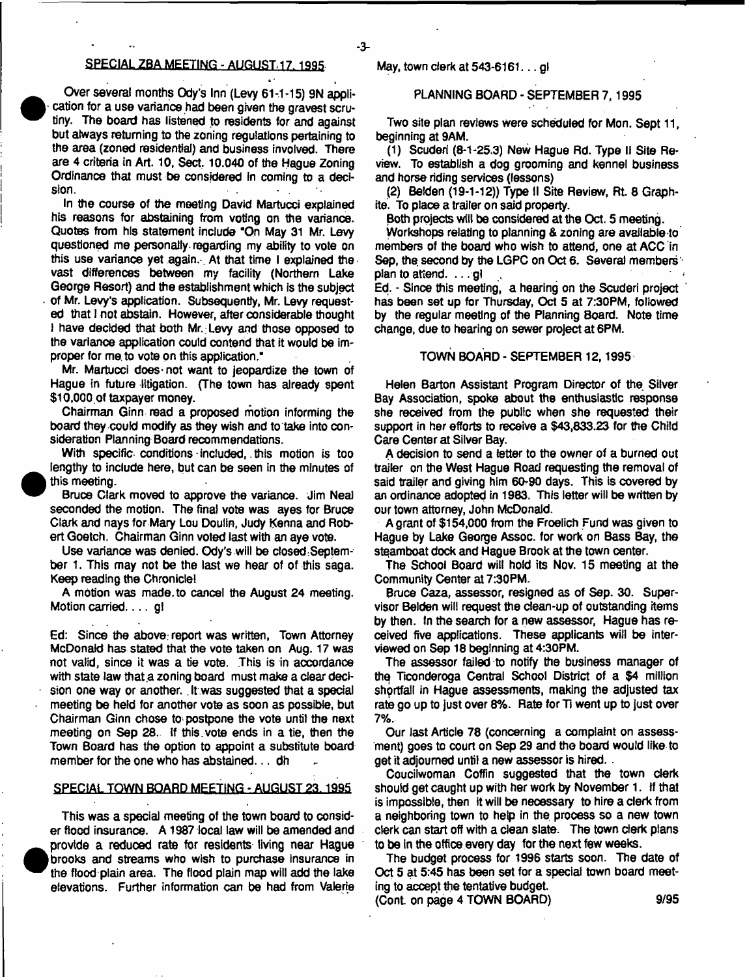## 2PECIAL 2BA MEETING - AUGUST. 17.1995

Over several months Ody's Inn (Levy 61-1-15) 9N application for a use variance had been given the gravest scrutiny. The board has listened to residents for and against but always returning to the zoning regulations pertaining to the area (zoned residential) and business involved. There are 4 criteria in Art. 10, Sect. 10.040 of the Hague Zoning Ordinance that must be considered in coming to a decision.

In the course of the meeting David Martucci explained his reasons for abstaining from voting on the variance. Quotes from his statement include "On May 31 Mr. Levy questioned me personally regarding my ability to vote on this use variance yet again. At that time I explained the vast differences between my facility (Northern Lake George Resort) and the establishment which is the subject of Mr. Levy's application. Subsequently, Mr. Levy requested that I not abstain. However, after considerable thought I have decided that both Mr. Levy and those opposed to the variance application could contend that it would be improper for me to vote on this application."

Mr. Martucci does-not want to jeopardize the town of Hague in future litigation. (The town has already spent \$10,000. of taxpayer money.

Chairman Ginn read a proposed motion informing the board they could modify as they wish and to take into consideration Planning Board recommendations.

With specific conditions included, this motion is too lengthy to include here, but can be seen in the minutes of this meeting.

Bruce Clark moved to approve the variance. Jim Neal seconded the motion. The final vote was ayes for Bruce Clark and nays for Mary Lou Doulin, Judy Kenna and Robert Goetch. Chairman Ginn voted last with an aye vote.

Use variance was denied. Ody's will be closed September 1. This may not be the last we hear of of this saga. Keep reading the Chronicle!

A motion was made, to cancel the August 24 meeting. Motion carried.  $\dots$  gl

Ed: Since the above; report was written, Town Attorney McDonald has stated that the vote taken on Aug. 17 was not valid, since it was a tie vote. This is in accordance with state law that a zoning board must make a clear decision one way or another. It was suggested that a special meeting be held for another vote as soon as possible, but Chairman Ginn chose to-postpone the vote until the next meeting on Sep 28.. If this.vote ends in a tie, then the Town Board has the option to appoint a substitute board member for the one who has abstained... dh

## SPECIAL TOWN BOARD MEETING - AUGUST 23.1995

This was a special meeting of the town board to consider flood insurance. A 1987 local law will be amended and provide a reduced rate for residents living near Hague brooks and streams who wish to purchase insurance in tire flood plain area. The flood plain map will add the lake elevations. Further information can be had from Valerie

## May, town clerk at 543-6161. ..gl

-3-

# PLANNING BOARD - SEPTEMBER 7,1995

Two site plan reviews were scheduled for Mon. Sept 11, beginning at 9AM.

(1) Scuderi (8-1-25.3) New Hague Rd. Type II Site Review. To establish a dog grooming and kennel business and horse riding services (lessons)

(2) Belden (19-1-12)) Type II Site Review, Rt 8 Graphite. To place a trailer on said property.

Both projects will be considered at the Oct. 5 meeting.

Workshops relating to planning & zoning are available to members of the board who wish to attend, one at ACC in Sep, the second by the LGPC on Oct 6. Several members plan to attend. . . . gl

Ed. - Since this meeting, a hearing on the Scuderi project has been set up for Thursday, Oct 5 at 7:30PM, followed by the regular meeting of the Planning 8oard. Note time change, due to hearing on sewer project at 6PM.

## TOWN BOARD - SEPTEMBER 12,1995

Helen Barton Assistant Program Director of the Silver Bay Association, spoke about the enthusiastic response she received from the public when she requested their support in her efforts to receive a \$43,633.23 for the Child Care Center at Silver Bay.

A decision to send a letter to the owner of a burned out trailer on the West Hague Road requesting the removal of said trailer and giving him 60-90 days. This is covered by an ordinance adopted in 1983. This letter will be written by our town attorney, John McDonald.

A grant of \$154,000 from the Froelich Fund was given to Hague by Lake George Assoc, for work on Bass Bay, the steamboat dock and Hague Brook at the town center.

The School Board will hold its Nov. 15 meeting at the Community Center at 7:30PM.

Bruce Caza, assessor, resigned as of Sep. 30. Supervisor Belden will request the dean-up of outstanding items by then. In the search for a new assessor, Hague has received five applications. These applicants will be interviewed on Sep 18 beginning at 4:30PM.

The assessor failed to notify the business manager of thq Ticonderoga Central School District of a \$4 million shgrtfaii in Hague assessments, making the adjusted tax rate go up to just over 8%. Rate for Ti went up to just over 7%.

Our last Article 78 (concerning a complaint on assessment) goes to court on Sep 29 and the board would like to get it adjourned until a new assessor is hired.

Coucilwoman Coffin suggested that the town clerk should get caught up with her work by November 1. If that is impossible, then it will be neoessary to hire a clerk from a neighboring town to help in the process so a new town clerk can start off with a clean slate. The town clerk plans to be in the office every day for the next few weeks.

The budget process for 1996 starts soon. The date of Oct 5 at 5:45 has been set for a special town board meeting to accept the tentative budget

(Cont. on page 4 TOWN BOARD) 9/95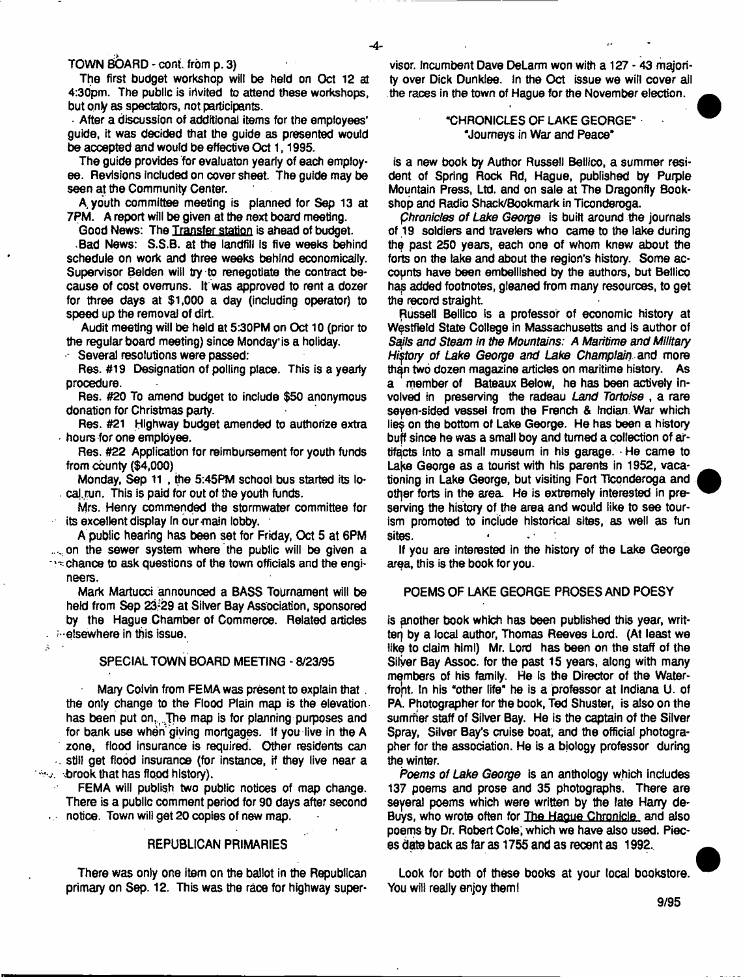TOWN BOARD - cont. from p. 3)

The first budget workshop will be held on Oct 12 at 4:30pm. The public is invited to attend these workshops, but ony as spectators, not participants.

• After a discussion of additional items for the employees' guide, it was decided that the guide as presented would be accepted and would be effective Oct 1, 1995.

The guide provides for evaluaton yearly of each employee. Revisions included on cover sheet. The guide may be seen at the Community Center.

A, youth committee meeting is planned for Sep 13 at 7PM. A report will be given at the next board meeting.

Good News: The Transfer station is ahead of budget.

.Bad News: S.S.B. at the landfill Is five weeks behind schedule on work and three weeks behind economically. Supervisor Belden will try to renegotiate the contract because of cost overruns. It was approved to rent a dozer for three days at \$1,000 a day (including operator) to speed up the removal of dirt.

Audit meeting will be held at 5:30PM on Oct 10 (prior to the regular board meeting) since Monday'is a holiday.

Several resolutions were passed:

 $\boldsymbol{\beta}$ 

Res. #19 Designation of polling place. This is a yearly procedure.

Res. #20 To amend budget to include \$50 anonymous donation for Christmas party.

Res. #21 Highway budget amended to authorize extra hours for one employee.

Res. #22 Application for reimbursement for youth funds from county (\$4,000)

Monday, Sep 11 , the 5:45PM school bus started its local run. This is paid for out of the youth funds.

Mrs. Henry commended the stormwater committee for its excellent display in our main lobby.

A public hearing has been set for Friday, Oct 5 at 6PM ... on the sewer system where the public will be given a chance to ask questions of the town officials and the engineers.

Mark Martucci announced a BASS Tournament will be held from Sep 23-29 at Silver Bay Association, sponsored by the Hague Chamber of Commerce. Related articles - **belsewhere in this issue.** 

## SPECIAL TOWN BOARD MEETING -8/23/95

Mary Colvin from FEMA was present to explain that. the only change to the Flood Plain map is the elevation has been put on,...The map is for planning purposes and for bank use when'giving mortgages. 1f you live in the A zone, flood insurance is required. Other residents can still get flood insurance (for instance, if they live near a **E.brook that has flood history).** 

FEMA will publish two public notices of map change. There is a public comment period for 90 days after second **notice. Town will get 20 copies of new map.** 

### **REPUBLICAN PRIMARIES**

There was only one item on the ballot in the Republican primary on Sep. 12. This was the raoe for highway super-

visor. Incumbent Dave DeLarm won with a 127 - 43 majority over Dick Dunklee. In the Oct issue we will cover ail the races in the town of Hague for the November election.

## -CHRONICLES OF LAKE GEORGE" "Journeys in War and Peace"

is a new book by Author Russell Bellico, a summer resident of Spring Rock Rd, Hague, published by Purple Mountain Press, Ltd. and on sale at The Dragonfly Bookshop and Radio Shack/Bookmark in Ticondenoga.

*phronides of Lake George* is built around the journals of 19 soldiers and travelers who came to the lake during the past 250 years, each one of whom knew about the forts on the lake and about the region's history. Some accounts have been embellished by the authors, but Bellico has added footnotes, gleaned from many resources, to get the record straight.

Russell Bellico is a professor of economic history at Westfield State College in Massachusetts and is author of *Sails and Steam in the Mountains: A Maritime and Military History of Lake George and Lake Champlain and* more than two dozen magazine articles on maritime history. As a member of Bateaux Below, he has been actively involved in preserving the radeau *Land Tortoise* , a rare seyen-sided vessel from the French & Indian. War which lies on the bottom of Lake George. He has been a history buff since he was a small boy and turned a collection of artifacts into a small museum in his garage. • He came to Lake George as a tourist with his parents in 1952, vacationing in Lake George, but visiting Fort Ticonderoga and other forts in the area. He is extremely interested in preserving the history of the area and would like to see tourism promoted to include historical sites, as well as fun sites.

If you are interested in the history of the Lake George area, this is the book for you.

### POEMS OF LAKE GEORGE PROSES AND POESY

is another book which has been published this year, written by a local author, Thomas Reeves Lord. (At least we like to claim him!) Mr. Lord has been on the staff of the Silver Bay Assoc, for the past 15 years, along with many members of his family. He Is the Director of the Waterfront. In his "other life" he is a professor at Indiana U. of PA. Photographer for the book, Ted Shuster, is also on the summer staff of Silver Bay. He is the captain of the Silver Spray, Silver Bay's cruise boat, and the official photographer for the association. He is a biology professor during the winter.

*Poems of Lake George* is an anthology which includes 137 poems and prose and 35 photographs. There are seyeral poems which were written by the late Harry de-Buys, who wrote often for The Hague Chronicle and also poems by Dr. Robert Cole, which we have also used. Pieces date back as far as 1755 and as recent as 1992.

Look for both of these books at your local bookstore. You will really enjoy them!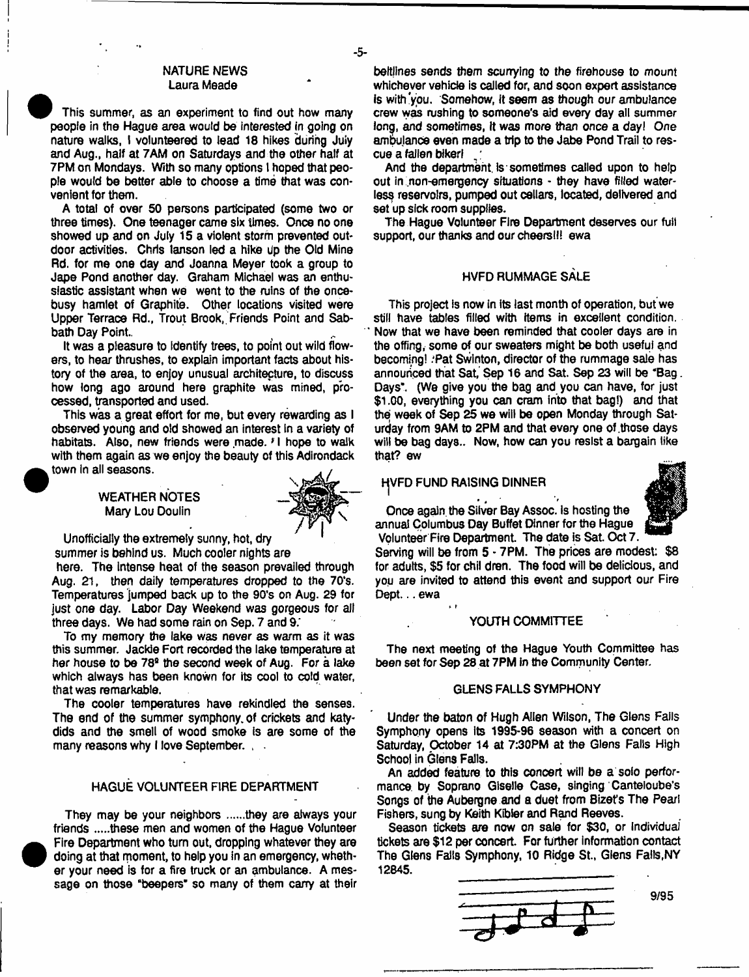# NATURE NEWS Laura Meade

) This summer, as an experiment to find out how many peopfe in the Hague area would be interested in going on nature walks, I volunteered to lead 18 hikes during July and Aug., half at 7AM on Saturdays and the other half at 7PM on Mondays. With so many options I hoped that people would be better able to choose a time that was convenient for them.

A total of over 50 persons participated (some two or three times). One teenager came six times. Once no one showed up and on July 15 a violent storm prevented outdoor activities. Chris lanson led a hike Up the Old Mine Rd. for me one day and Joanna Meyer took a group to Jape Pond another day. Graham Michael was an enthusiastic assistant when we went to the ruins of the oncebusy hamlet of Graphite. Other locations visited were Upper Terrace Rd., Trout Brook, Friends Point and Sabbath Day Point

It was a pleasure to identify trees, to point out wild flowers, to hear thrushes, to explain important facts about history of the area, to enjoy unusual architecture, to discuss how long ago around here graphite was mined, processed, transported and used.

This was a great effort for me, but every rewarding as I observed young and old showed an interest in a variety of habitats. Also, new friends were made*. f* I hope to walk with them again as we enjoy the beauty of this Adirondack town In all seasons.

> WEATHER NOTES Mary Lou Doulin



-5-

Unofficially the extremely sunny, hot, dry

summer is behind us. Much cooler nights are here. The Intense heat of the season prevailed through Aug. 21, then daily temperatures dropped to the 70\*s. Temperatures jumped back up to the 90's on Aug. 29 for just one day. Labor Day Weekend was gorgeous for ait three days. We had some rain on Sep. 7 and 9;

To my memory the lake Was never as warm as it was this summer. Jackie Fort recorded the lake temperature at her house to be 78<sup>s</sup> the second week of Aug. For a lake which always has been known for its cool to cold water, that was remarkable.

The cooler temperatures have rekindled the senses. The end of the summer symphony, of crickets and katydids and the smell of wood smoke is are some of the many reasons why I love September.

# HAGUE VOLUNTEER FIRE DEPARTMENT

They may be your neighbors ......they are always your friends .....these men and women of the Hague Volunteer Fire Department who turn out, dropping whatever they are doing at that moment, to help you in an emergency, whether your need is for a fire truck or an ambulance. A message on those "beepers" so many of them carry at their beitlines sends them scurrying to the firehouse to mount whichever vehicle is called for, and soon expert assistance is with'you. Somehow, it seem as though our ambulance crew was rushing to someone's aid every day all summer long, and sometimes, It was more than once a *day! One* ambulance even made a trip to the Jabe Pond Trail to rescue a fallen bikerl

And the department is sometimes called upon to help out in non-emergency situations - they have filled waterless reservoirs, pumped out cellars, located, delivered and set up sick room supplies.

The Hague Volunteer Fire Department deserves our full support, our thanks and our cheers!!! ewa

# HVFD RUMMAGE SALE

This project Is now in its last month of operation, but we still have tables filled with items in excellent condition. Now that we have been reminded that cooler days are in the offing, some of our sweaters might be both useful and becoming! .'Pat Swinton, director of the rummage sale has announced that Sat, Sep 16 and Sat. Sep 23 will be "Bag. Days\*. (We give you the bag and you can have, for just \$1.00, everything you can cram into that bag!) and that the week of Sep 25 we will be open Monday through Saturday from 9AM to 2PM and that every one of those days will be bag days.. Now, how can you resist a bargain like that? ew

**HVFD FUND RAISING DINNER** 

\* *t*

Once again the Silver Bay Assoc, is hosting the annual Columbus Day Buffet Dinner for the Hague Volunteer Fire Department. The date is Sat. Oct 7.

Serving will be from 5 - 7PM. The prices are modest: \$8 for adults, \$5 for chil dren. The food will be delicious, and you are invited to attend this event and support our Fire Dept... ewa

#### YOUTH COMMITTEE

The next meeting of the Hague Youth Committee has been set for Sep 28 at 7PM in the Community Center.

## GLENS FALLS SYMPHONY

Under the baton of Hugh Allen Wilson, The Glens Falls Symphony opens its 1995-96 season with a concert on Saturday, October 14 at 7:30PM at the Glens Falls High School in Glens Falls.

An added feature to this concert will be a solo performance by Soprano Giselle Case, singing Canteloube's Songs of the Aubergne and a duet from Bizet's The Pearl Fishers, sung by Keith Kibler and Rand Reeves.

Season tickets are now on sale for \$30, or Individual tickets are \$12 per concert. For further information contact The Glens Falls Symphony, 10 Ridge St., Glens Falls,NY 12845.



9/95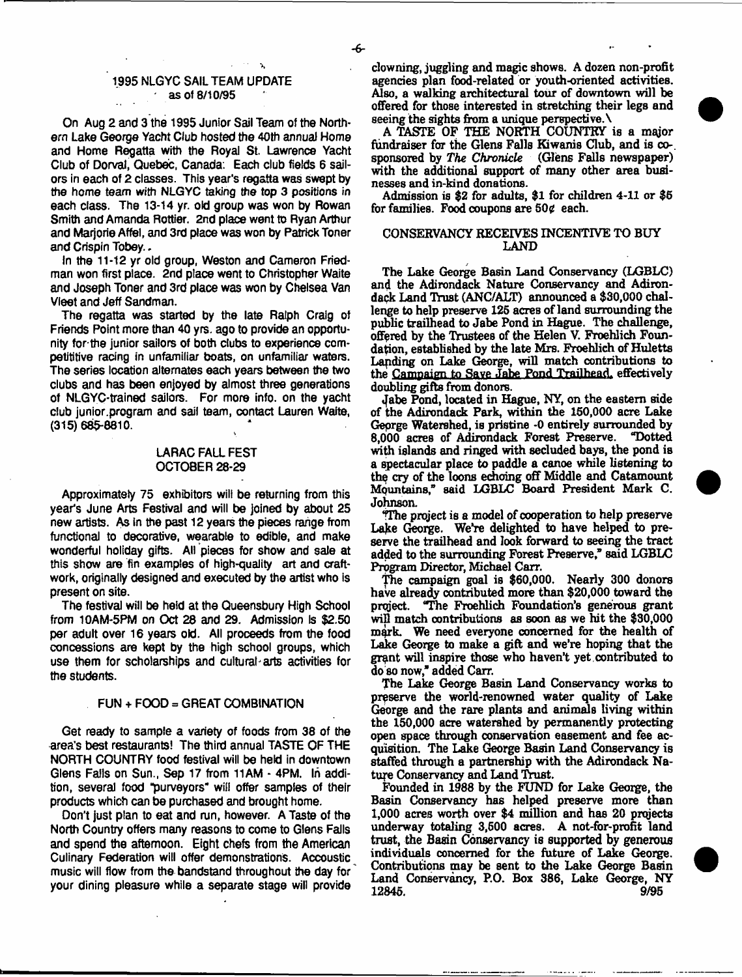# 1995 NLGYC SAIL TEAM UPDATE ' as of 8/10/95

 $\mathbf{A}$ 

On Aug 2 and 3 the 1995 Junior Sail Team of the Northern Lake George Yacht Club hosted the 40th annual Home and Home Regatta with the Royal St. Lawrence Yacht Club of Dorval, Quebec, Canada: Each club fields 6 sailors in each of 2 classes. This year's regatta was swept by the home team with NLGYC taking the top 3 positions *in* each class. The 13-14 yr. old group was won by Rowan Smith and Amanda Rottier. 2nd place went to Ryan Arthur and Marjorie Affel, and 3rd place was won by Patrick Toner and Crispin Tobey...

In the 11-12 yr old group, Weston and Cameron Friedman won first place. 2nd place went to Christopher Waite and Joseph Toner and 3rd place was won by Chelsea Van Vleet and Jeff Sandman.

The regatta was started by the late Ralph Craig of Friends Point more than 40 yrs. ago to provide an opportunity for-the junior sailors of both clubs to experience competititive racing in unfamiliar boats, on unfamiliar waters. The series location alternates each years between the two clubs and has been enjoyed by almost three generations of NLGYC-trained sailors. For more info, on the yacht club junior.program and sail team, contact Lauren Waite, (315)685-8810.

# LARAC FALL FEST OCTOBER 28-29

Approximately 75 exhibitors will be returning from this year's June Arts Festival and will be joined by about 25 new artists. As In the past 12 years the pieces range from functional to decorative, wearable to edible, and make wonderful holiday gifts. All pieces for show and sale at this show are fin examples of high-quality art and craftwork, originally designed and executed by the artist who is present on site.

The festival will be held at the Gueensbury High School from 10AM-5PM on Oct 28 and 29. Admission Is \$2.50 per adult over 16 years old. All proceeds from the food concessions are kept by the high school groups, which use them for scholarships and cultural arts activities for the students.

#### FUN + FOOD = GREAT COMBINATION

Get ready to sample a variety of foods from 38 of the area's best restaurants! The third annual TASTE OF THE NORTH COUNTRY food festival will be held in downtown Glens Falls on Sun., Sep 17 from 11AM - 4PM. In addition, several food "purveyors" will offer samples of their products which can be purchased and brought home.

Don't just plan to eat and run, however. A Taste of the North Countiy offers many reasons to come to Glens Falls and spend the afternoon. Eight chefs from the American Culinary Federation will offer demonstrations. Accoustic music will flow from the bandstand throughout the day for your dining pleasure while a separate stage will provide

clowning, juggling and magic shows. A dozen non-profit agencies plan food-related or youth-oriented activities. Also, a walking architectural tour of downtown will be offered for those interested in stretching their legs and seeing the sights from a unique perspective. \

A TASTE OF THE NORTH COUNTRY is a major fundraiser for the Glens Falls Kiwanis Club, and is cosponsored by *The Chronicle* (Glens Falls newspaper) with the additional support of many other area businesses and in-kind donations.

Admission is \$2 for adults, \$1 for children 4-11 or \$6 for families. Food coupons are  $50¢$  each.

# CONSERVANCY RECEIVES INCENTIVE TO BUY LAND

The Lake George Basin Land Conservancy (LGBLC) and the Adirondack Nature Conservancy and Adirondack Land Trust (ANC/ALT) announced a \$30,000 challenge to help preserve 125 acres of land surrounding the public trailhead to Jabe Pond in Hague. The challenge, offered by the Trustees of the Helen V. Froehlich Foundation, established by the late Mrs. Froehlich of Huletts Landing on Lake George, will match contributions to the Campaign to Save Jabe Pond Trailhead. effectively doubling gifts from donors.

Jabe Pond, located in Hague, NY, on the eastern side of the Adirondack Park, within the 150,000 acre Lake George Watershed, is pristine -0 entirely surrounded by 8.000 acres of Adirondack Forest Preserve. "Dotted with islands and ringed with secluded bays, the pond is a spectacular place to paddle a canoe while listening to the cry of the loons echoing off Middle and Catamount Mountains," said LGBLC Board President Mark C. Johnson.

iThe project is a model of cooperation to help preserve Lake George. We're delighted to have helped to preserve the trailhead and look forward to seeing the tract added to the surrounding Forest Preserve," said LGBLC Program Director, Michael Carr.

The campaign goal is \$60,000. Neariy 300 donors have already contributed more than \$20,000 toward the project. The Froehlich Foundation's generous grant The Froehlich Foundation's generous grant will match contributions as soon as we hit the \$30,000 mark. We need everyone concerned for the health of Lake George to make a gift and we're hoping that the grant will inspire those who haven't yet contributed to do so now,\* added Carr.

The Lake George Basin Land Conservancy works to preserve the world-renowned water quality of Lake George and the rare plants and animals living within the 150,000 acre watershed by permanently protecting open space through conservation easement and fee acquisition. The Lake George Basin Land Conservancy is staffed through a partnership with the Adirondack Nature Conservancy and Land Trust.

Founded in 1988 by the FUND for Lake George, the Basin Conservancy has helped preserve more than 1.000 acres worth over \$4 million and has 20 projects underway totaling 3,500 acres. A not-for-profit land trust, the Basin Conservancy is supported by generous individuals concerned for the future of Lake George. Contributions may be sent to the Lake George Basin Land Conservancy, P.O. Box 386, Lake George, NY 12845. 9/95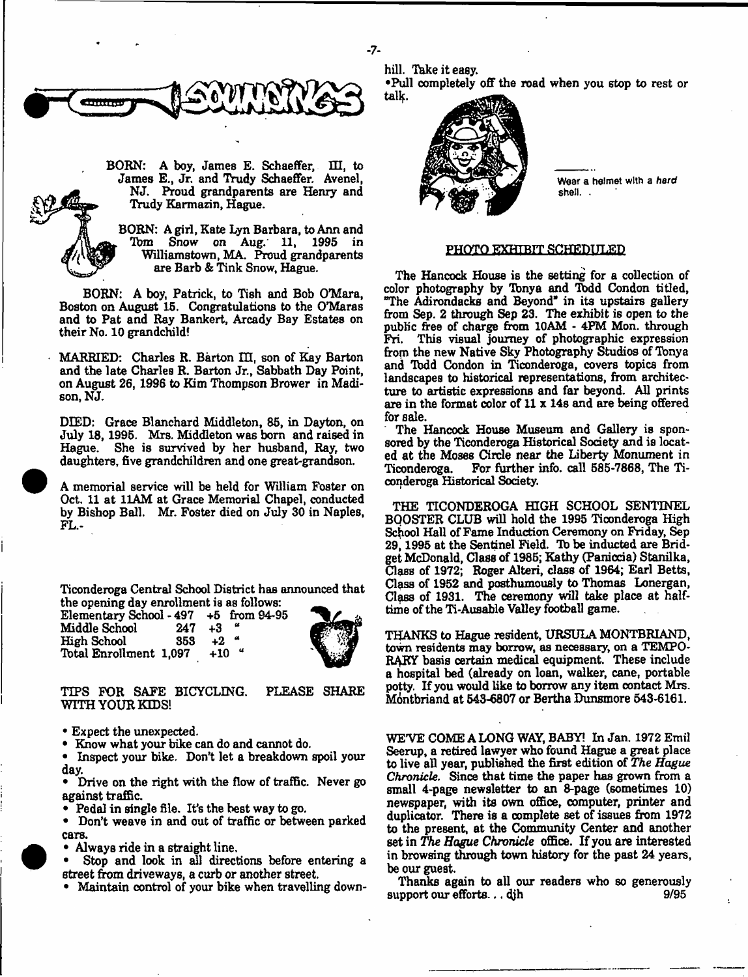

BORN: A boy, James E. Schaeffer, III, to James E., Jr. and Trudy Schaeffer. Avenel, NJ. Proud grandparents are Henry and Trudy Karmazin, Hague.

BORN: A girl, Kate Lyn Barbara, to Ann and Tbm Snow on Aug. 11, 1995 in Williamstown, MA. Proud grandparents are Barb & Tink Snow, Hague.

BORN: A boy, Patrick, to Tish and Bob O'Mara, Boston on August 15. Congratulations to the 0\*Maras and to Pat and Ray Bankert, Arcady Bay Estates on their No. 10 grandchild!

MARRIED: Charles R. Barton III, son of Kay Barton and the late Charles R. Barton Jr., Sabbath Day Point, on August 26,1996 to Kim Thompson Brower in Madison, NJ.

DIED: Grace Blanchard Middleton, 85, in Dayton, on July 18,1995. Mrs. Middleton was bom and raised in Hague. She is survived by her husband, Ray, two daughters, five grandchildren and one great-grandson.

A memorial service will be held for William Foster on Oct. 11 at 11AM at Grace Memorial Chapel, conducted by Bishop Ball. Mr. Foster died on July 30 in Naples, FL.-

Ticonderoga Central School District has announced that the opening day enrollment is as follows:<br>Elementary School - 497 +5 from 94-95

Elementary School - 497 +5 from 94-95 Middle School 247 +3<br>High School 353 +2 High School 353 +2<br>Total Enrollment 1,097 +10 Total Enrollment 1,097



TIPS FOR SAFE BICYCLING. WITH YOUR KIDS! PLEASE SHARE

• Expect the unexpected.

• Know what your bike can do and cannot do.

• Inspect your bike. Don't let a breakdown spoil your day.

• Drive on the right with the flow of traffic. Never go against traffic.

• Pedal in single file. It's the best way to go.

• Don't weave in and out of traffic or between parked cars.

- Always ride in a straight line.
- Stop and look in all directions before entering a street from driveways, a curb or another street.

• Maintain control of your bike when travelling down-

hill. Take it easy. •Pull completely off the road when you stop to rest or tallf.



Wear a helmet with a *hard* shell. .

#### PHOTO EXHIBIT SCHEDULED

The Hancock House is the setting for a collection of color photography by Tbnya and Tbdd Condon titled, The Adirondacks and Beyond" in its upstairs gallery from Sep. 2 through Sep 23. The exhibit is open to the public free of charge from 10AM - 4PM Mon. through<br>Fri. This visual journey of photographic expression This visual journey of photographic expression from the new Native Sky Photography Studios of Tonya and Tbdd Condon in Ticonderoga, covers topics from landscapes to historical representations, from architecture to artistic expressions and far beyond. All prints are in the format color of 11 x 14s and are being offered for sale.

The Hancock House Museum and Gallery is sponsored by the Ticonderoga Historical Society and is located at the Moses Cirde near the Liberty Monument in Ticonderoga. For further info, call 585-7868, The Ticonderoga Historical Society.

THE TICONDEROGA HIGH SCHOOL SENTINEL BOOSTER CLUB will hold the 1995 Ticonderoga High School Hall of Fame Induction Ceremony on Friday, Sep 29,1995 at the Sentinel Field. To be inducted are Bridget McDonald, Gass of 1985; Kathy (Paniccia) Stanilka, Gass of 1972; Roger Alteri, class of 1964; Earl Betts, Gass of 1952 and posthumously to Thomas Lonergan, Class of 1931. The ceremony will take place at halftime of the Ti-Ausable Valley football game.

THANKS to Hague resident, URSULA MONTBRIAND, town residents may borrow, as necessary, on a TEMPO-RARY basis certain medical equipment. These include a hospital bed (already on loan, walker, cane, portable potty. If you would like to borrow any item contact Mrs. Montbriand at 543-6807 or Bertha Dunsmore 543-6161.

WE'VE COME A LONG WAY, BABY! In Jan. 1972 Emil Seerup, a retired lawyer who found Hague a great place to live all year, published the first edition of *The Hague Chronicle.* Since that time the paper has grown from a small 4-page newsletter to an 8-page (sometimes 10) newspaper, with its own office, computer, printer and duplicator. There is a complete set of issues from 1972 to the present, at the Community Center and another set in *The Hogue Chronicle* office. If you are interested in browsing through town history for the past 24 years, be our guest.

Thanks again to all our readers who so generously support our efforts...  $djh$